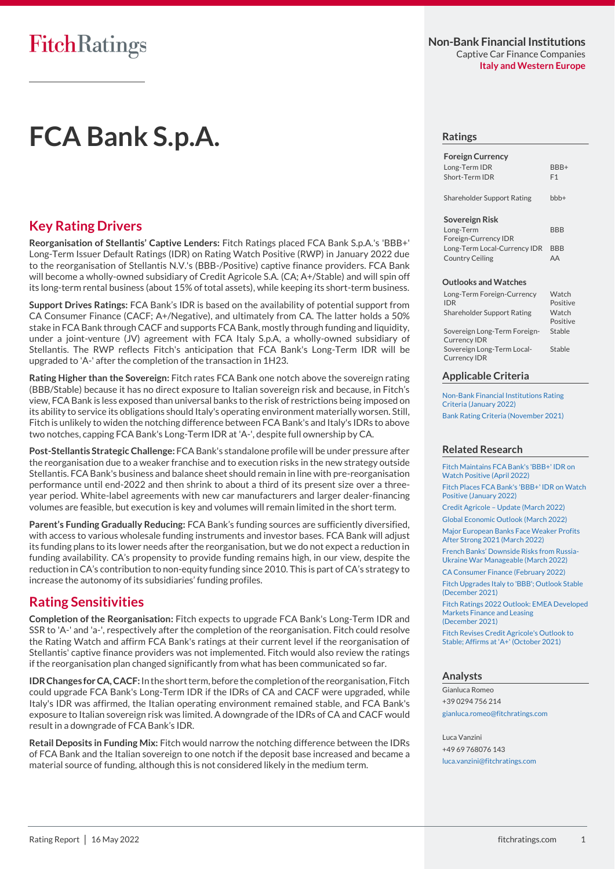## **Non-Bank Financial Institutions** Captive Car Finance Companies **Italy and Western Europe**

# **FCA Bank S.p.A.**

## **Key Rating Drivers**

**Reorganisation of Stellantis' Captive Lenders:** Fitch Ratings placed FCA Bank S.p.A.'s 'BBB+' Long-Term Issuer Default Ratings (IDR) on Rating Watch Positive (RWP) in January 2022 due to the reorganisation of Stellantis N.V.'s (BBB-/Positive) captive finance providers. FCA Bank will become a wholly-owned subsidiary of Credit Agricole S.A. (CA; A+/Stable) and will spin off its long-term rental business (about 15% of total assets), while keeping its short-term business.

**Support Drives Ratings:** FCA Bank's IDR is based on the availability of potential support from CA Consumer Finance (CACF; A+/Negative), and ultimately from CA. The latter holds a 50% stake in FCA Bank through CACF and supports FCA Bank, mostly through funding and liquidity, under a joint-venture (JV) agreement with FCA Italy S.p.A, a wholly-owned subsidiary of Stellantis. The RWP reflects Fitch's anticipation that FCA Bank's Long-Term IDR will be upgraded to 'A-' after the completion of the transaction in 1H23.

**Rating Higher than the Sovereign:** Fitch rates FCA Bank one notch above the sovereign rating (BBB/Stable) because it has no direct exposure to Italian sovereign risk and because, in Fitch's view, FCA Bank is less exposed than universal banks to the risk of restrictions being imposed on its ability to service its obligations should Italy's operating environment materially worsen. Still, Fitch is unlikely to widen the notching difference between FCA Bank's and Italy's IDRs to above two notches, capping FCA Bank's Long-Term IDR at 'A-', despite full ownership by CA.

**Post-Stellantis Strategic Challenge:** FCA Bank's standalone profile will be under pressure after the reorganisation due to a weaker franchise and to execution risks in the new strategy outside Stellantis. FCA Bank's business and balance sheet should remain in line with pre-reorganisation performance until end-2022 and then shrink to about a third of its present size over a threeyear period. White-label agreements with new car manufacturers and larger dealer-financing volumes are feasible, but execution is key and volumes will remain limited in the short term.

**Parent's Funding Gradually Reducing:** FCA Bank's funding sources are sufficiently diversified, with access to various wholesale funding instruments and investor bases. FCA Bank will adjust its funding plans to its lower needs after the reorganisation, but we do not expect a reduction in funding availability. CA's propensity to provide funding remains high, in our view, despite the reduction in CA's contribution to non-equity funding since 2010. This is part of CA's strategy to increase the autonomy of its subsidiaries' funding profiles.

# **Rating Sensitivities**

**Completion of the Reorganisation:** Fitch expects to upgrade FCA Bank's Long-Term IDR and SSR to 'A-' and 'a-', respectively after the completion of the reorganisation. Fitch could resolve the Rating Watch and affirm FCA Bank's ratings at their current level if the reorganisation of Stellantis' captive finance providers was not implemented. Fitch would also review the ratings if the reorganisation plan changed significantly from what has been communicated so far.

**IDR Changes forCA, CACF:**In the short term, before the completion of the reorganisation, Fitch could upgrade FCA Bank's Long-Term IDR if the IDRs of CA and CACF were upgraded, while Italy's IDR was affirmed, the Italian operating environment remained stable, and FCA Bank's exposure to Italian sovereign risk was limited. A downgrade of the IDRs of CA and CACF would result in a downgrade of FCA Bank's IDR.

**Retail Deposits in Funding Mix:** Fitch would narrow the notching difference between the IDRs of FCA Bank and the Italian sovereign to one notch if the deposit base increased and became a material source of funding, although this is not considered likely in the medium term.

#### **Ratings**

| BBB+           |
|----------------|
| F <sub>1</sub> |
|                |

Shareholder Support Rating bbb+

#### **Sovereign Risk**

Long-Term Foreign-Currency IDR **BBB** Long-Term Local-Currency IDR BBB Country Ceiling AA

#### **Outlooks and Watches**

| Long-Term Foreign-Currency<br><b>IDR</b>            | Watch<br>Positive |
|-----------------------------------------------------|-------------------|
| Shareholder Support Rating                          | Watch<br>Positive |
| Sovereign Long-Term Foreign-<br><b>Currency IDR</b> | Stable            |
| Sovereign Long-Term Local-<br><b>Currency IDR</b>   | Stable            |

#### **Applicable Criteria**

[Non-Bank Financial Institutions Rating](https://www.fitchratings.com/site/re/10187597)  [Criteria \(January 2022\)](https://www.fitchratings.com/site/re/10187597) [Bank Rating Criteria \(November 2021\)](https://www.fitchratings.com/site/re/10182112)

#### **Related Research**

[Fitch Maintains FCA Bank's 'BBB+' IDR on](https://www.fitchratings.com/site/pr/10200422)  [Watch Positive \(April 2022\)](https://www.fitchratings.com/site/pr/10200422) [Fitch Places FCA Bank's 'BBB+' IDR on Watch](https://www.fitchratings.com/site/pr/10190461)  [Positive \(January 2022\)](https://www.fitchratings.com/site/pr/10190461)

Credit Agricole – [Update \(March 2022\)](https://www.fitchratings.com/site/re/10195406)

[Global Economic Outlook \(March 2022\)](https://www.fitchratings.com/site/re/10197212) [Major European Banks Face Weaker Profits](https://www.fitchratings.com/site/pr/10197100)  [After Strong 2021 \(March 2022\)](https://www.fitchratings.com/site/pr/10197100)

[French Banks' Downside Risks from Russia](https://www.fitchratings.com/site/pr/10197095)-[Ukraine War Manageable \(March 2022\)](https://www.fitchratings.com/site/pr/10197095)

[CA Consumer Finance \(February 2022\)](https://www.fitchratings.com/site/re/10191618)

[Fitch Upgrades Italy to 'BBB'; Outlook Stable](https://www.fitchratings.com/site/pr/10186628)  [\(December 2021\)](https://www.fitchratings.com/site/pr/10186628)

[Fitch Ratings 2022 Outlook: EMEA Developed](https://www.fitchratings.com/site/re/10186080)  [Markets Finance and Leasing](https://www.fitchratings.com/site/re/10186080)  [\(December 2021\)](https://www.fitchratings.com/site/re/10186080)

[Fitch Revises Credit Agricole's Outlook to](https://www.fitchratings.com/site/pr/10182380)  Stable; Affirms [at 'A+' \(October 2021\)](https://www.fitchratings.com/site/pr/10182380)

#### **Analysts**

Gianluca Romeo +39 0294 756 214 [gianluca.romeo@fitchratings.com](mailto:gianluca.romeo@fitchratings.com)

Luca Vanzini +49 69 768076 143 [luca.vanzini@fitchratings.com](mailto:luca.vanzini@fitchratings.com)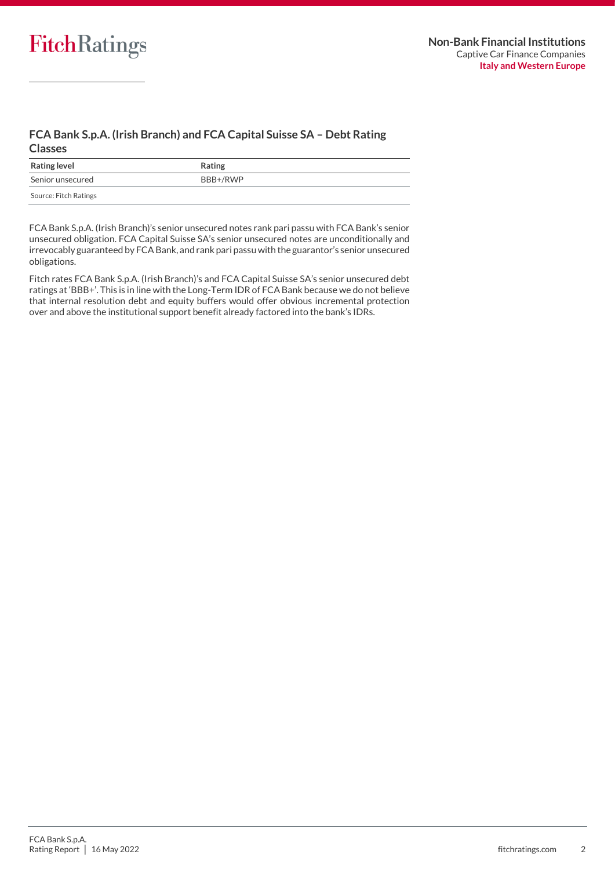## **FCA Bank S.p.A. (Irish Branch) and FCA Capital Suisse SA – Debt Rating Classes**

| <b>Rating level</b>   | Rating   |
|-----------------------|----------|
| Senior unsecured      | BBB+/RWP |
| Source: Fitch Ratings |          |

FCA Bank S.p.A. (Irish Branch)'s senior unsecured notes rank pari passu with FCA Bank's senior unsecured obligation. FCA Capital Suisse SA's senior unsecured notes are unconditionally and irrevocably guaranteed by FCA Bank, and rank pari passu with the guarantor's senior unsecured obligations.

Fitch rates FCA Bank S.p.A. (Irish Branch)'s and FCA Capital Suisse SA's senior unsecured debt ratings at 'BBB+'. This is in line with the Long-Term IDR of FCA Bank because we do not believe that internal resolution debt and equity buffers would offer obvious incremental protection over and above the institutional support benefit already factored into the bank's IDRs.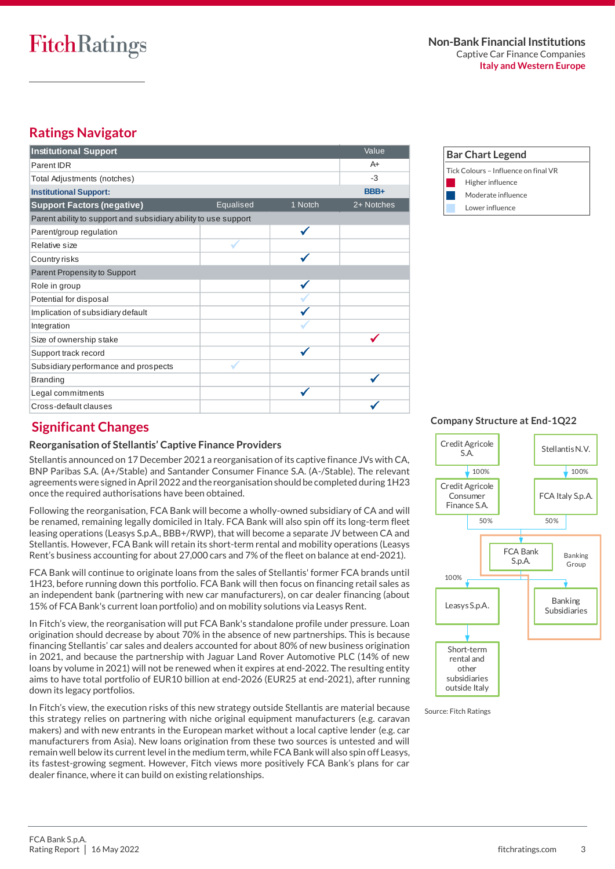# **FitchRatings**

#### **Non-Bank Financial Institutions** Captive Car Finance Companies **Italy and Western Europe**

# **Ratings Navigator**

| <b>Institutional Support</b>                                    |                  |         | Value      |
|-----------------------------------------------------------------|------------------|---------|------------|
| Parent IDR                                                      |                  |         | $A+$       |
| Total Adjustments (notches)                                     |                  |         | $-3$       |
| <b>Institutional Support:</b>                                   |                  |         | BBB+       |
| <b>Support Factors (negative)</b>                               | <b>Equalised</b> | 1 Notch | 2+ Notches |
| Parent ability to support and subsidiary ability to use support |                  |         |            |
| Parent/group regulation                                         |                  |         |            |
| Relative size                                                   |                  |         |            |
| Country risks                                                   |                  |         |            |
| Parent Propensity to Support                                    |                  |         |            |
| Role in group                                                   |                  |         |            |
| Potential for disposal                                          |                  |         |            |
| Implication of subsidiary default                               |                  |         |            |
| Integration                                                     |                  |         |            |
| Size of ownership stake                                         |                  |         |            |
| Support track record                                            |                  |         |            |
| Subsidiary performance and prospects                            |                  |         |            |
| <b>Branding</b>                                                 |                  |         |            |
| Legal commitments                                               |                  |         |            |
| Cross-default clauses                                           |                  |         |            |



# **Significant Changes**

## **Reorganisation of Stellantis' Captive Finance Providers**

Stellantis announced on 17 December 2021 a reorganisation of its captive finance JVs with CA, BNP Paribas S.A. (A+/Stable) and Santander Consumer Finance S.A. (A-/Stable). The relevant agreements were signed in April 2022 and the reorganisation should be completed during 1H23 once the required authorisations have been obtained.

Following the reorganisation, FCA Bank will become a wholly-owned subsidiary of CA and will be renamed, remaining legally domiciled in Italy. FCA Bank will also spin off its long-term fleet leasing operations (Leasys S.p.A., BBB+/RWP), that will become a separate JV between CA and Stellantis. However, FCA Bank will retain its short-term rental and mobility operations (Leasys Rent's business accounting for about 27,000 cars and 7% of the fleet on balance at end-2021).

FCA Bank will continue to originate loans from the sales of Stellantis' former FCA brands until 1H23, before running down this portfolio. FCA Bank will then focus on financing retail sales as an independent bank (partnering with new car manufacturers), on car dealer financing (about 15% of FCA Bank's current loan portfolio) and on mobility solutions via Leasys Rent.

In Fitch's view, the reorganisation will put FCA Bank's standalone profile under pressure. Loan origination should decrease by about 70% in the absence of new partnerships. This is because financing Stellantis' car sales and dealers accounted for about 80% of new business origination in 2021, and because the partnership with Jaguar Land Rover Automotive PLC (14% of new loans by volume in 2021) will not be renewed when it expires at end-2022. The resulting entity aims to have total portfolio of EUR10 billion at end-2026 (EUR25 at end-2021), after running down its legacy portfolios.

In Fitch's view, the execution risks of this new strategy outside Stellantis are material because this strategy relies on partnering with niche original equipment manufacturers (e.g. caravan makers) and with new entrants in the European market without a local captive lender (e.g. car manufacturers from Asia). New loans origination from these two sources is untested and will remain well below its current level in the medium term, while FCA Bank will also spin off Leasys, its fastest-growing segment. However, Fitch views more positively FCA Bank's plans for car dealer finance, where it can build on existing relationships.

**Company Structure at End-1Q22**

Credit Agricole Example 1 Stellantis N.V.<br>S.A. Credit Agricole Consumer Finance S.A. FCA Italy S.p.A. FCA Bank S.p.A. Leasys S.p.A. Banking Subsidiaries Short-term rental and other subsidiaries outside Italy  $100\%$  100% 50% 50% 100% Banking Group

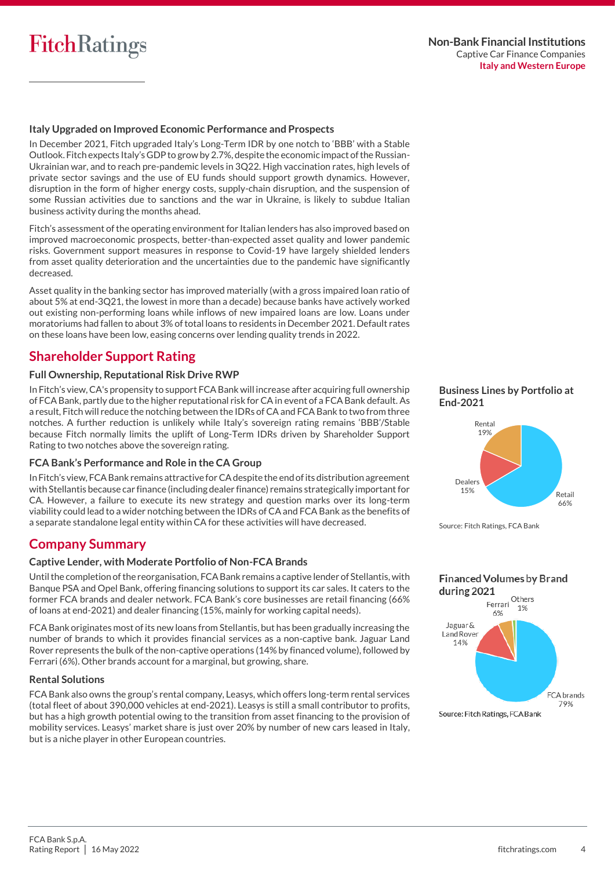

#### **Italy Upgraded on Improved Economic Performance and Prospects**

In December 2021, Fitch upgraded Italy's Long-Term IDR by one notch to 'BBB' with a Stable Outlook. Fitch expects Italy's GDP to grow by 2.7%, despite the economic impact of the Russian-Ukrainian war, and to reach pre-pandemic levels in 3Q22. High vaccination rates, high levels of private sector savings and the use of EU funds should support growth dynamics. However, disruption in the form of higher energy costs, supply-chain disruption, and the suspension of some Russian activities due to sanctions and the war in Ukraine, is likely to subdue Italian business activity during the months ahead.

Fitch's assessment of the operating environment for Italian lenders has also improved based on improved macroeconomic prospects, better-than-expected asset quality and lower pandemic risks. Government support measures in response to Covid-19 have largely shielded lenders from asset quality deterioration and the uncertainties due to the pandemic have significantly decreased.

Asset quality in the banking sector has improved materially (with a gross impaired loan ratio of about 5% at end-3Q21, the lowest in more than a decade) because banks have actively worked out existing non-performing loans while inflows of new impaired loans are low. Loans under moratoriums had fallen to about 3% of total loans to residents in December 2021. Default rates on these loans have been low, easing concerns over lending quality trends in 2022.

## **Shareholder Support Rating**

#### **Full Ownership, Reputational Risk Drive RWP**

In Fitch's view, CA's propensity to support FCA Bank will increase after acquiring full ownership of FCA Bank, partly due to the higher reputational risk for CA in event of a FCA Bank default. As a result, Fitch will reduce the notching between the IDRs of CA and FCA Bank to two from three notches. A further reduction is unlikely while Italy's sovereign rating remains 'BBB'/Stable because Fitch normally limits the uplift of Long-Term IDRs driven by Shareholder Support Rating to two notches above the sovereign rating.

#### **FCA Bank's Performance and Role in the CA Group**

In Fitch's view, FCA Bank remains attractive for CA despite the end of its distribution agreement with Stellantis because car finance (including dealer finance) remains strategically important for CA. However, a failure to execute its new strategy and question marks over its long-term viability could lead to a wider notching between the IDRs of CA and FCA Bank as the benefits of a separate standalone legal entity within CA for these activities will have decreased.

## **Company Summary**

#### **Captive Lender, with Moderate Portfolio of Non-FCA Brands**

Until the completion of the reorganisation, FCA Bank remains a captive lender of Stellantis, with Banque PSA and Opel Bank, offering financing solutions to support its car sales. It caters to the former FCA brands and dealer network. FCA Bank's core businesses are retail financing (66% of loans at end-2021) and dealer financing (15%, mainly for working capital needs).

FCA Bank originates most of its new loans from Stellantis, but has been gradually increasing the number of brands to which it provides financial services as a non-captive bank. Jaguar Land Rover represents the bulk of the non-captive operations (14% by financed volume), followed by Ferrari (6%). Other brands account for a marginal, but growing, share.

#### **Rental Solutions**

FCA Bank also owns the group's rental company, Leasys, which offers long-term rental services (total fleet of about 390,000 vehicles at end-2021). Leasys is still a small contributor to profits, but has a high growth potential owing to the transition from asset financing to the provision of mobility services. Leasys' market share is just over 20% by number of new cars leased in Italy, but is a niche player in other European countries.





Source: Fitch Ratings, FCA Bank

**Financed Volumes by Brand** during 2021

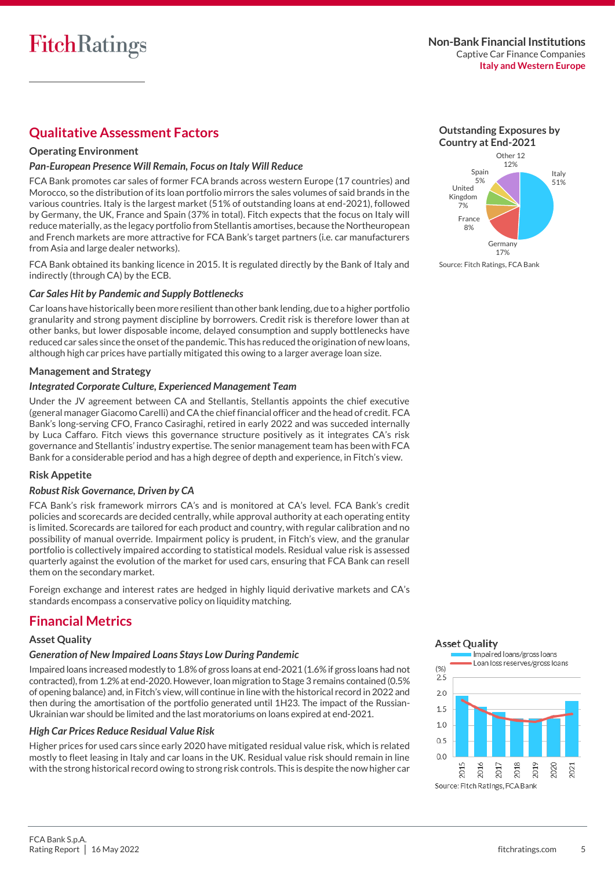## **Qualitative Assessment Factors**

## **Operating Environment**

### *Pan-European Presence Will Remain, Focus on Italy Will Reduce*

FCA Bank promotes car sales of former FCA brands across western Europe (17 countries) and Morocco, so the distribution of its loan portfolio mirrors the sales volumes of said brands in the various countries. Italy is the largest market (51% of outstanding loans at end-2021), followed by Germany, the UK, France and Spain (37% in total). Fitch expects that the focus on Italy will reduce materially, as the legacy portfolio from Stellantis amortises, because the Northeuropean and French markets are more attractive for FCA Bank's target partners (i.e. car manufacturers from Asia and large dealer networks).

FCA Bank obtained its banking licence in 2015. It is regulated directly by the Bank of Italy and indirectly (through CA) by the ECB.

#### *Car Sales Hit by Pandemic and Supply Bottlenecks*

Car loans have historically been more resilient than other bank lending, due to a higher portfolio granularity and strong payment discipline by borrowers. Credit risk is therefore lower than at other banks, but lower disposable income, delayed consumption and supply bottlenecks have reduced car sales since the onset of the pandemic. This has reduced the origination of new loans, although high car prices have partially mitigated this owing to a larger average loan size.

#### **Management and Strategy**

#### *Integrated Corporate Culture, Experienced Management Team*

Under the JV agreement between CA and Stellantis, Stellantis appoints the chief executive (general manager Giacomo Carelli) and CA the chief financial officer and the head of credit. FCA Bank's long-serving CFO, Franco Casiraghi, retired in early 2022 and was succeded internally by Luca Caffaro. Fitch views this governance structure positively as it integrates CA's risk governance and Stellantis' industry expertise. The senior management team has been with FCA Bank for a considerable period and has a high degree of depth and experience, in Fitch's view.

## **Risk Appetite**

#### *Robust Risk Governance, Driven by CA*

FCA Bank's risk framework mirrors CA's and is monitored at CA's level. FCA Bank's credit policies and scorecards are decided centrally, while approval authority at each operating entity is limited. Scorecards are tailored for each product and country, with regular calibration and no possibility of manual override. Impairment policy is prudent, in Fitch's view, and the granular portfolio is collectively impaired according to statistical models. Residual value risk is assessed quarterly against the evolution of the market for used cars, ensuring that FCA Bank can resell them on the secondary market.

Foreign exchange and interest rates are hedged in highly liquid derivative markets and CA's standards encompass a conservative policy on liquidity matching.

## **Financial Metrics**

### **Asset Quality**

#### *Generation of New Impaired Loans Stays Low During Pandemic*

Impaired loans increased modestly to 1.8% of gross loans at end-2021 (1.6% if gross loans had not contracted), from 1.2% at end-2020. However, loan migration to Stage 3 remains contained (0.5% of opening balance) and, in Fitch's view, will continue in line with the historical record in 2022 and then during the amortisation of the portfolio generated until 1H23. The impact of the Russian-Ukrainian war should be limited and the last moratoriums on loans expired at end-2021.

#### *High Car Prices Reduce Residual Value Risk*

Higher prices for used cars since early 2020 have mitigated residual value risk, which is related mostly to fleet leasing in Italy and car loans in the UK. Residual value risk should remain in line with the strong historical record owing to strong risk controls. This is despite the now higher car





## **Asset Quality**

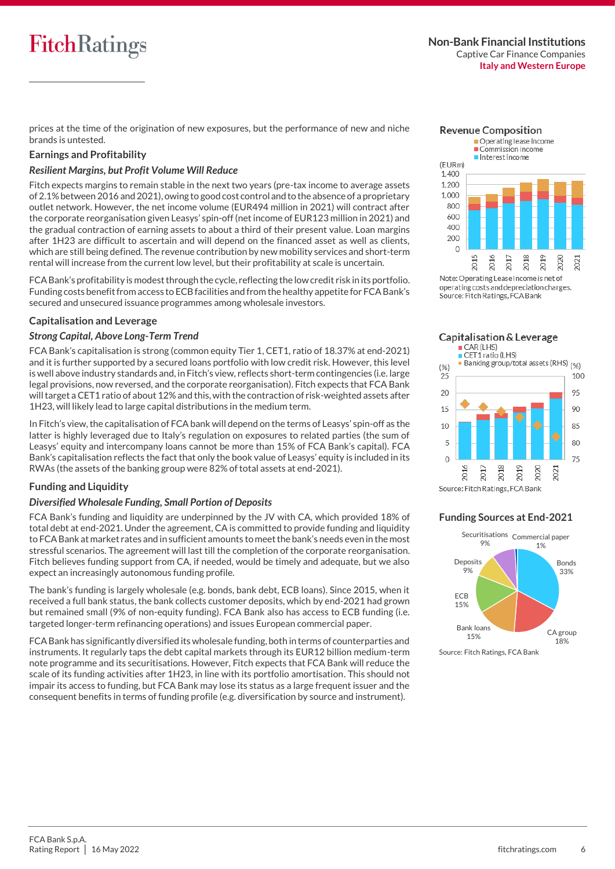# **FitchRatings**

prices at the time of the origination of new exposures, but the performance of new and niche brands is untested.

#### **Earnings and Profitability**

#### *Resilient Margins, but Profit Volume Will Reduce*

Fitch expects margins to remain stable in the next two years (pre-tax income to average assets of 2.1% between 2016 and 2021), owing to good cost control and to the absence of a proprietary outlet network. However, the net income volume (EUR494 million in 2021) will contract after the corporate reorganisation given Leasys' spin-off (net income of EUR123 million in 2021) and the gradual contraction of earning assets to about a third of their present value. Loan margins after 1H23 are difficult to ascertain and will depend on the financed asset as well as clients, which are still being defined. The revenue contribution by new mobility services and short-term rental will increase from the current low level, but their profitability at scale is uncertain.

FCA Bank's profitability is modest through the cycle, reflecting the low credit risk in its portfolio. Funding costs benefit from access to ECB facilities and from the healthy appetite for FCA Bank's secured and unsecured issuance programmes among wholesale investors.

#### **Capitalisation and Leverage**

#### *Strong Capital, Above Long-Term Trend*

FCA Bank's capitalisation is strong (common equity Tier 1, CET1, ratio of 18.37% at end-2021) and it is further supported by a secured loans portfolio with low credit risk. However, this level is well above industry standards and, in Fitch's view, reflects short-term contingencies (i.e. large legal provisions, now reversed, and the corporate reorganisation). Fitch expects that FCA Bank will target a CET1 ratio of about 12% and this, with the contraction of risk-weighted assets after 1H23, will likely lead to large capital distributions in the medium term.

In Fitch's view, the capitalisation of FCA bank will depend on the terms of Leasys' spin-off as the latter is highly leveraged due to Italy's regulation on exposures to related parties (the sum of Leasys' equity and intercompany loans cannot be more than 15% of FCA Bank's capital). FCA Bank's capitalisation reflects the fact that only the book value of Leasys' equity is included in its RWAs (the assets of the banking group were 82% of total assets at end-2021).

## **Funding and Liquidity**

#### *Diversified Wholesale Funding, Small Portion of Deposits*

FCA Bank's funding and liquidity are underpinned by the JV with CA, which provided 18% of total debt at end-2021. Under the agreement, CA is committed to provide funding and liquidity to FCA Bank at market rates and in sufficient amounts to meet the bank's needs even in the most stressful scenarios. The agreement will last till the completion of the corporate reorganisation. Fitch believes funding support from CA, if needed, would be timely and adequate, but we also expect an increasingly autonomous funding profile.

The bank's funding is largely wholesale (e.g. bonds, bank debt, ECB loans). Since 2015, when it received a full bank status, the bank collects customer deposits, which by end-2021 had grown but remained small (9% of non-equity funding). FCA Bank also has access to ECB funding (i.e. targeted longer-term refinancing operations) and issues European commercial paper.

FCA Bank has significantly diversified its wholesale funding, both in terms of counterparties and instruments. It regularly taps the debt capital markets through its EUR12 billion medium-term note programme and its securitisations. However, Fitch expects that FCA Bank will reduce the scale of its funding activities after 1H23, in line with its portfolio amortisation. This should not impair its access to funding, but FCA Bank may lose its status as a large frequent issuer and the consequent benefits in terms of funding profile (e.g. diversification by source and instrument).



operating costs and depreciation charges. Source: Fitch Ratings, FCA Bank

Capitalisation & Leverage



#### **Funding Sources at End-2021**

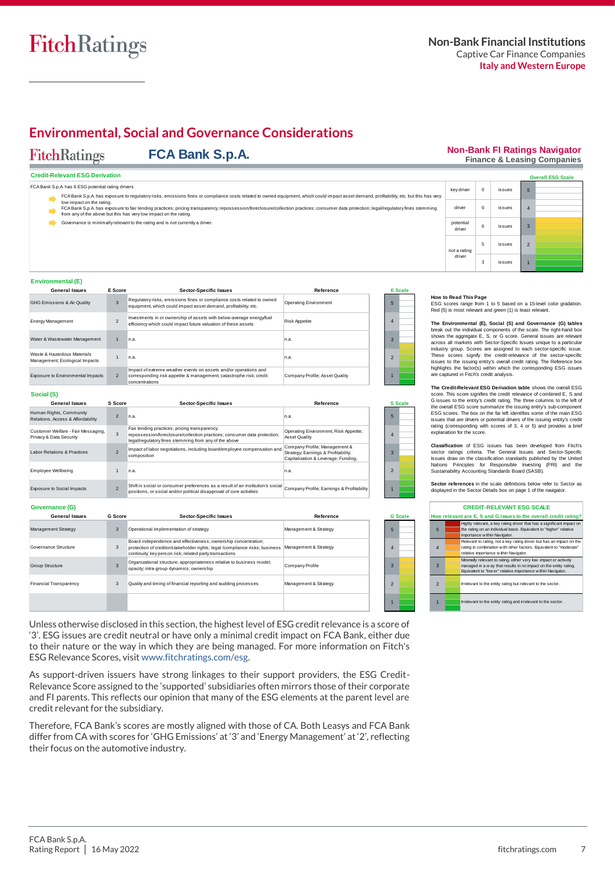

## **Environmental, Social and Governance Considerations**

#### **FitchRatings FCA Bank S.p.A.**

#### **Non-Bank FI Ratings Navigator Finance & Leasing Companies**

2

1

|  | <b>Credit-Relevant ESG Derivation</b> |
|--|---------------------------------------|
|  |                                       |

| Credit-Relevant ESG Derivation                                                                                                                                                                                      |                    |        | <b>Overall ESG Scale</b> |
|---------------------------------------------------------------------------------------------------------------------------------------------------------------------------------------------------------------------|--------------------|--------|--------------------------|
| FCA Bank S.p.A has 6 ESG potential rating drivers                                                                                                                                                                   | key driver         | issues |                          |
| FCA Bank S.p.A. has exposure to regulatory risks, emissions fines or compliance costs related to owned equipment, which could impact asset demand, profitability, etc. but this has very                            |                    |        |                          |
| low impact on the rating.<br>FCA Bank S.p.A. has exposure to fair lending practices; pricing transparency; repossession/foreclosure/collection practices; consumer data protection; legal/regulatory fines stemming | driver             | issues |                          |
| from any of the above but this has very low impact on the rating.                                                                                                                                                   |                    |        |                          |
| Governance is minimally relevant to the rating and is not currently a driver.                                                                                                                                       | potentia<br>driver | issues |                          |

#### **Environmental (E)**

sure to Social Impacts

 $\overline{2}$ 

| <b>General Issues</b>                                         | E Score        | <b>Sector-Specific Issues</b>                                                                                                                            | Reference                      |              | <b>E</b> Scale |
|---------------------------------------------------------------|----------------|----------------------------------------------------------------------------------------------------------------------------------------------------------|--------------------------------|--------------|----------------|
| <b>GHG Emissions &amp; Air Quality</b>                        |                | Regulatory risks, emissions fines or compliance costs related to owned<br>equipment, which could impact asset demand, profitability, etc.                | <b>Operating Environment</b>   | 5            |                |
| <b>Energy Management</b>                                      |                | Investments in or ownership of assets with below-average energy/fuel<br>efficiency which could impact future valuation of these assets                   | <b>Risk Appetite</b>           |              |                |
| Water & Wastewater Management                                 |                | n.a.                                                                                                                                                     | n.a.                           | $\mathbf{R}$ |                |
| Waste & Hazardous Materials<br>Management; Ecological Impacts |                | n.a.                                                                                                                                                     | n.a.                           |              |                |
| Exposure to Environmental Impacts                             | $\overline{2}$ | Impact of extreme weather events on assets and/or operations and<br>corresponding risk appetite & management; catastrophe risk; credit<br>concentrations | Company Profile; Asset Quality |              |                |

#### **How to Read This Page**

not a rating driver

**G Scale**

1

not a rating<br>driver<br>
The most relevant and green (1) is least on a 15-level color gradation.<br>
Red (5) is most relevant and green (1) is least relevant.

5 issues 3 issues

**The Environmental (E), Social (S) and Governance (G) tables** break out the individual components of the scale. The right-hand box How to Read This Page<br>ESG scores range from 1 to 5 based on a 15-level color gradation.<br>Red (5) is most relevant and green (1) is least relevant.<br>The Environmental (E), Social (S) and Governance (G) tables<br>break out the in These scores signify the credit-relevance of the sector-specific ESG scores range from 1 to 5 based on a 15-level color gradation.<br>Red (5) is most relevant and green (1) is least relevant.<br>The Environmental (E), Social (S) and Governance (G) tables<br>break out the individual components of highlights the factor(s) within which the corresponding ESG issues are captured in Fitch's credit analysis. shows the aggregate L, S, or G score. General Issues are relevant incustry group. Scores are assigned to each sector-specific issue. These scores signify the credit-relevance of the sector-specific issues to the issuing en

**The Credit-Relevant ESG Derivation table** shows the overall ESG the overall ESG score summarize the issuing entity's sub-component ESG scores. The box on the far left identifies some of the main ESG issues that are drivers or potential drivers of the issuing entity's credit rating (corresponding with scores of 3, 4 or 5) and provides a brief explanation for the score.

**Classification** of ESG issues has been developed from Fitch's sector ratings criteria. The General Issues and Sector-Specific Issues draw on the classification standards published by the United Nations Principles for Responsible Investing (PRI) and the Sustainability Accounting Standards Board (SASB). rating (corresponding with scores of 3, 4 or 5) and provides a brief<br>explanation for the score.<br>**Classification** of ESG issues has been developed from Fitch's<br>sector ratings criteria. The General Issues and Sector-Specific

|                | displayed in the Sector Details box on page 1 of the navigator. |                                                                                                                                                                                                       |  |  |  |  |  |  |
|----------------|-----------------------------------------------------------------|-------------------------------------------------------------------------------------------------------------------------------------------------------------------------------------------------------|--|--|--|--|--|--|
|                |                                                                 | <b>CREDIT-RELEVANT ESG SCALE</b>                                                                                                                                                                      |  |  |  |  |  |  |
|                |                                                                 | How relevant are E, S and G issues to the overall credit rating?                                                                                                                                      |  |  |  |  |  |  |
| 5              |                                                                 | Highly relevant, a key rating driver that has a significant impact on<br>the rating on an individual basis. Equivalent to "higher" relative<br>importance within Navigator.                           |  |  |  |  |  |  |
| $\overline{4}$ |                                                                 | Relevant to rating, not a key rating driver but has an impact on the<br>rating in combination with other factors. Equivalent to "moderate"<br>relative importance within Navigator.                   |  |  |  |  |  |  |
| 3              |                                                                 | Minimally relevant to rating, either very low impact or actively<br>managed in a w ay that results in no impact on the entity rating.<br>Equivalent to "low er" relative importance within Navigator. |  |  |  |  |  |  |
| $\overline{2}$ |                                                                 | Irrelevant to the entity rating but relevant to the sector.                                                                                                                                           |  |  |  |  |  |  |
| 1              |                                                                 | Irrelevant to the entity rating and irrelevant to the sector.                                                                                                                                         |  |  |  |  |  |  |

| Exposure to Environmental Impacts                             | $\overline{2}$ | Impact of extreme weather events on assets and/or operations and<br>corresponding risk appetite & management; catastrophe risk; credit<br>concentrations                           | Company Profile; Asset Quality                                                                              |                          |
|---------------------------------------------------------------|----------------|------------------------------------------------------------------------------------------------------------------------------------------------------------------------------------|-------------------------------------------------------------------------------------------------------------|--------------------------|
| Social (S)                                                    |                |                                                                                                                                                                                    |                                                                                                             |                          |
| <b>General Issues</b>                                         | S Score        | <b>Sector-Specific Issues</b>                                                                                                                                                      | Reference                                                                                                   | <b>S</b> Scale           |
| Human Rights, Community<br>Relations, Access & Affordability  | $\overline{2}$ | n.a.                                                                                                                                                                               | n.a.                                                                                                        | 5                        |
| Customer Welfare - Fair Messaging,<br>Privacy & Data Security | 3              | Fair lending practices; pricing transparency;<br>repossession/foreclosure/collection practices; consumer data protection;<br>legal/regulatory fines stemming from any of the above | Operating Environment; Risk Appetite;<br>Asset Quality                                                      |                          |
| Labor Relations & Practices                                   | $\overline{2}$ | Impact of labor negotiations, including board/employee compensation and<br>composition                                                                                             | Company Profile; Management &<br>Strategy; Earnings & Profitability;<br>Capitalization & Leverage; Funding, |                          |
| <b>Employee Wellbeing</b>                                     |                | n.a.                                                                                                                                                                               | n.a.                                                                                                        | $\overline{\phantom{a}}$ |
|                                                               |                |                                                                                                                                                                                    |                                                                                                             |                          |

Shift in social or consumer preferences as a result of an institution's social Company Profile; Earnings & Profitability<br>positions, or social and/or political disapproval of core activities

| Governance (G)                |                |                                                                                                                                                                                                           |                       |                 |
|-------------------------------|----------------|-----------------------------------------------------------------------------------------------------------------------------------------------------------------------------------------------------------|-----------------------|-----------------|
| <b>General Issues</b>         | <b>G</b> Score | <b>Sector-Specific Issues</b>                                                                                                                                                                             | Reference             | G S             |
| Management Strategy           | 3              | Operational implementation of strategy                                                                                                                                                                    | Management & Strategy | $5\overline{5}$ |
| Governance Structure          | 3              | Board independence and effectiveness; ownership concentration;<br>protection of creditor/stakeholder rights; legal /compliance risks; business<br>continuity; key person risk; related party transactions | Management & Strategy | 4               |
| <b>Group Structure</b>        | 3              | Organizational structure; appropriateness relative to business model;<br>opacity, intra-group dynamics; ownership                                                                                         | Company Profile       | 3               |
| <b>Financial Transparency</b> | 3              | Quality and timing of financial reporting and auditing processes                                                                                                                                          | Management & Strategy | $\mathcal{P}$   |
|                               |                |                                                                                                                                                                                                           |                       |                 |

Unless otherwise disclosed in this section, the highest level of ESG credit relevance is a score of '3'. ESG issues are credit neutral or have only a minimal credit impact on FCA Bank, either due to their nature or the way in which they are being managed. For more information on Fitch's ESG Relevance Scores, visi[t www.fitchratings.com/esg.](http://www.fitchratings.com/esg)

As support-driven issuers have strong linkages to their support providers, the ESG Credit-Relevance Score assigned to the 'supported' subsidiaries often mirrors those of their corporate and FI parents. This reflects our opinion that many of the ESG elements at the parent level are credit relevant for the subsidiary.

Therefore, FCA Bank's scores are mostly aligned with those of CA. Both Leasys and FCA Bank differ from CA with scores for 'GHG Emissions' at '3' and 'Energy Management' at '2', reflecting their focus on the automotive industry.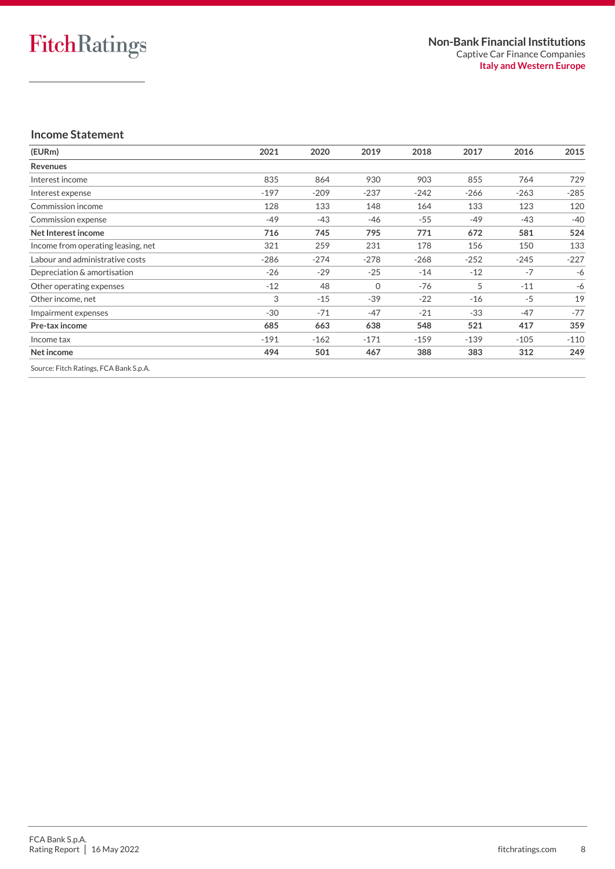## **Income Statement**

| 2021   | 2020   | 2019     | 2018   | 2017   | 2016   | 2015   |
|--------|--------|----------|--------|--------|--------|--------|
|        |        |          |        |        |        |        |
| 835    | 864    | 930      | 903    | 855    | 764    | 729    |
| $-197$ | $-209$ | $-237$   | $-242$ | $-266$ | $-263$ | $-285$ |
| 128    | 133    | 148      | 164    | 133    | 123    | 120    |
| $-49$  | $-43$  | -46      | $-55$  | $-49$  | $-43$  | $-40$  |
| 716    | 745    | 795      | 771    | 672    | 581    | 524    |
| 321    | 259    | 231      | 178    | 156    | 150    | 133    |
| $-286$ | $-274$ | $-278$   | $-268$ | $-252$ | $-245$ | $-227$ |
| $-26$  | $-29$  | $-25$    | $-14$  | $-12$  | $-7$   | -6     |
| $-12$  | 48     | $\Omega$ | -76    | 5      | $-11$  | -6     |
| 3      | $-15$  | $-39$    | $-22$  | $-16$  | $-5$   | 19     |
| $-30$  | $-71$  | $-47$    | $-21$  | $-33$  | $-47$  | $-77$  |
| 685    | 663    | 638      | 548    | 521    | 417    | 359    |
| $-191$ | $-162$ | $-171$   | $-159$ | $-139$ | $-105$ | $-110$ |
| 494    | 501    | 467      | 388    | 383    | 312    | 249    |
|        |        |          |        |        |        |        |

Source: Fitch Ratings, FCA Bank S.p.A.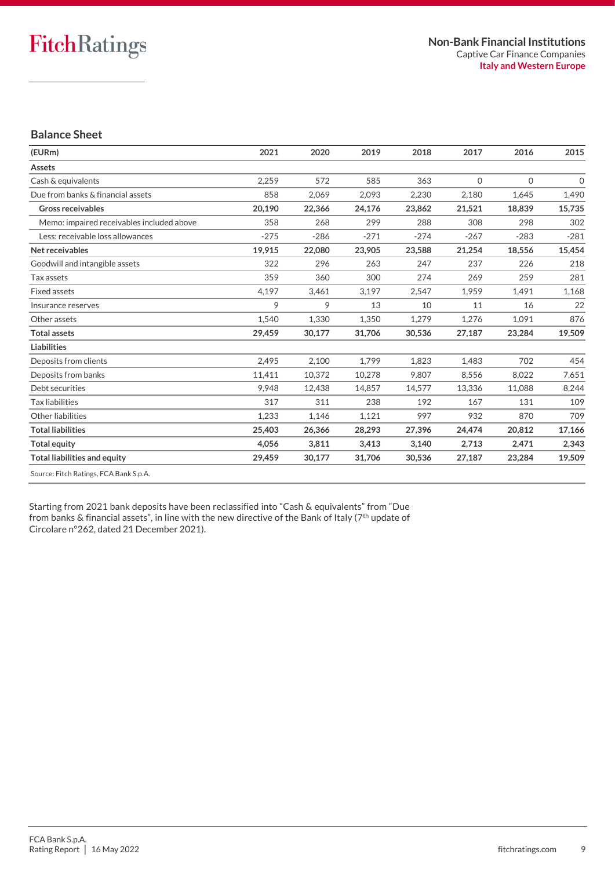## **Balance Sheet**

| (EURm)                                    | 2021   | 2020   | 2019   | 2018   | 2017         | 2016         | 2015         |
|-------------------------------------------|--------|--------|--------|--------|--------------|--------------|--------------|
| Assets                                    |        |        |        |        |              |              |              |
| Cash & equivalents                        | 2.259  | 572    | 585    | 363    | $\mathbf{0}$ | $\mathbf{O}$ | $\mathbf{O}$ |
| Due from banks & financial assets         | 858    | 2,069  | 2,093  | 2,230  | 2,180        | 1,645        | 1,490        |
| <b>Gross receivables</b>                  | 20,190 | 22,366 | 24,176 | 23,862 | 21,521       | 18,839       | 15,735       |
| Memo: impaired receivables included above | 358    | 268    | 299    | 288    | 308          | 298          | 302          |
| Less: receivable loss allowances          | $-275$ | $-286$ | $-271$ | $-274$ | $-267$       | $-283$       | $-281$       |
| Net receivables                           | 19,915 | 22,080 | 23,905 | 23,588 | 21,254       | 18,556       | 15,454       |
| Goodwill and intangible assets            | 322    | 296    | 263    | 247    | 237          | 226          | 218          |
| Tax assets                                | 359    | 360    | 300    | 274    | 269          | 259          | 281          |
| <b>Fixed assets</b>                       | 4,197  | 3,461  | 3,197  | 2,547  | 1,959        | 1,491        | 1,168        |
| Insurance reserves                        | 9      | 9      | 13     | 10     | 11           | 16           | 22           |
| Other assets                              | 1,540  | 1,330  | 1,350  | 1,279  | 1,276        | 1,091        | 876          |
| <b>Total assets</b>                       | 29,459 | 30,177 | 31,706 | 30,536 | 27,187       | 23,284       | 19,509       |
| <b>Liabilities</b>                        |        |        |        |        |              |              |              |
| Deposits from clients                     | 2.495  | 2,100  | 1.799  | 1.823  | 1.483        | 702          | 454          |
| Deposits from banks                       | 11,411 | 10,372 | 10,278 | 9,807  | 8,556        | 8,022        | 7,651        |
| Debt securities                           | 9.948  | 12,438 | 14,857 | 14,577 | 13,336       | 11,088       | 8,244        |
| <b>Tax liabilities</b>                    | 317    | 311    | 238    | 192    | 167          | 131          | 109          |
| Other liabilities                         | 1,233  | 1,146  | 1,121  | 997    | 932          | 870          | 709          |
| <b>Total liabilities</b>                  | 25,403 | 26,366 | 28,293 | 27,396 | 24,474       | 20.812       | 17,166       |
| <b>Total equity</b>                       | 4,056  | 3,811  | 3,413  | 3,140  | 2,713        | 2,471        | 2,343        |
| <b>Total liabilities and equity</b>       | 29,459 | 30,177 | 31,706 | 30,536 | 27,187       | 23,284       | 19,509       |
| Source: Fitch Ratings, FCA Bank S.p.A.    |        |        |        |        |              |              |              |

Starting from 2021 bank deposits have been reclassified into "Cash & equivalents" from "Due from banks & financial assets", in line with the new directive of the Bank of Italy (7<sup>th</sup> update of Circolare n°262, dated 21 December 2021).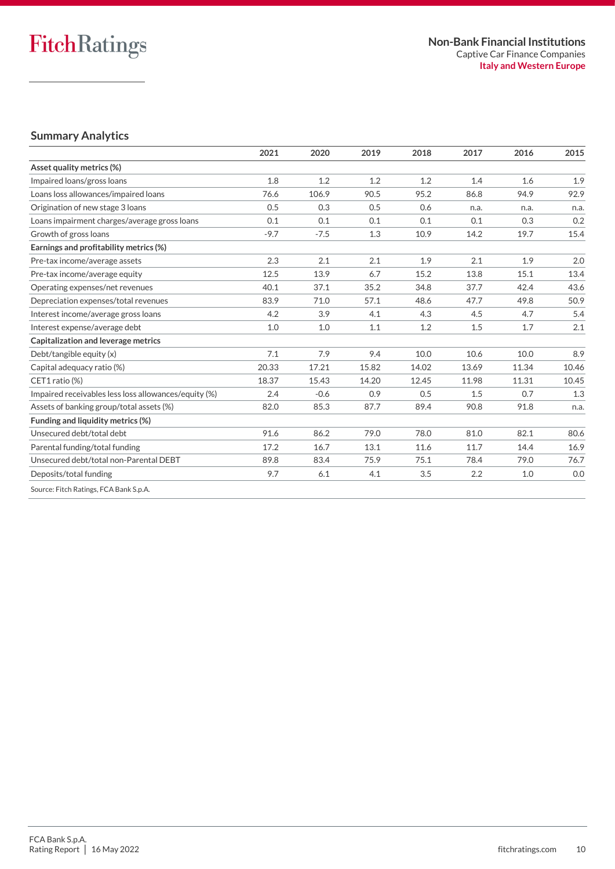## **Summary Analytics**

|                                                      | 2021   | 2020   | 2019  | 2018  | 2017  | 2016  | 2015  |
|------------------------------------------------------|--------|--------|-------|-------|-------|-------|-------|
| Asset quality metrics (%)                            |        |        |       |       |       |       |       |
| Impaired loans/gross loans                           | 1.8    | 1.2    | 1.2   | 1.2   | 1.4   | 1.6   | 1.9   |
| Loans loss allowances/impaired loans                 | 76.6   | 106.9  | 90.5  | 95.2  | 86.8  | 94.9  | 92.9  |
| Origination of new stage 3 loans                     | 0.5    | 0.3    | 0.5   | 0.6   | n.a.  | n.a.  | n.a.  |
| Loans impairment charges/average gross loans         | 0.1    | 0.1    | 0.1   | 0.1   | 0.1   | 0.3   | 0.2   |
| Growth of gross loans                                | $-9.7$ | $-7.5$ | 1.3   | 10.9  | 14.2  | 19.7  | 15.4  |
| Earnings and profitability metrics (%)               |        |        |       |       |       |       |       |
| Pre-tax income/average assets                        | 2.3    | 2.1    | 2.1   | 1.9   | 2.1   | 1.9   | 2.0   |
| Pre-tax income/average equity                        | 12.5   | 13.9   | 6.7   | 15.2  | 13.8  | 15.1  | 13.4  |
| Operating expenses/net revenues                      | 40.1   | 37.1   | 35.2  | 34.8  | 37.7  | 42.4  | 43.6  |
| Depreciation expenses/total revenues                 | 83.9   | 71.0   | 57.1  | 48.6  | 47.7  | 49.8  | 50.9  |
| Interest income/average gross loans                  | 4.2    | 3.9    | 4.1   | 4.3   | 4.5   | 4.7   | 5.4   |
| Interest expense/average debt                        | 1.0    | 1.0    | 1.1   | 1.2   | 1.5   | 1.7   | 2.1   |
| Capitalization and leverage metrics                  |        |        |       |       |       |       |       |
| Debt/tangible equity (x)                             | 7.1    | 7.9    | 9.4   | 10.0  | 10.6  | 10.0  | 8.9   |
| Capital adequacy ratio (%)                           | 20.33  | 17.21  | 15.82 | 14.02 | 13.69 | 11.34 | 10.46 |
| CET1 ratio (%)                                       | 18.37  | 15.43  | 14.20 | 12.45 | 11.98 | 11.31 | 10.45 |
| Impaired receivables less loss allowances/equity (%) | 2.4    | $-0.6$ | 0.9   | 0.5   | 1.5   | 0.7   | 1.3   |
| Assets of banking group/total assets (%)             | 82.0   | 85.3   | 87.7  | 89.4  | 90.8  | 91.8  | n.a.  |
| Funding and liquidity metrics (%)                    |        |        |       |       |       |       |       |
| Unsecured debt/total debt                            | 91.6   | 86.2   | 79.0  | 78.0  | 81.0  | 82.1  | 80.6  |
| Parental funding/total funding                       | 17.2   | 16.7   | 13.1  | 11.6  | 11.7  | 14.4  | 16.9  |
| Unsecured debt/total non-Parental DEBT               | 89.8   | 83.4   | 75.9  | 75.1  | 78.4  | 79.0  | 76.7  |
| Deposits/total funding                               | 9.7    | 6.1    | 4.1   | 3.5   | 2.2   | 1.0   | 0.0   |
| Source: Fitch Ratings, FCA Bank S.p.A.               |        |        |       |       |       |       |       |